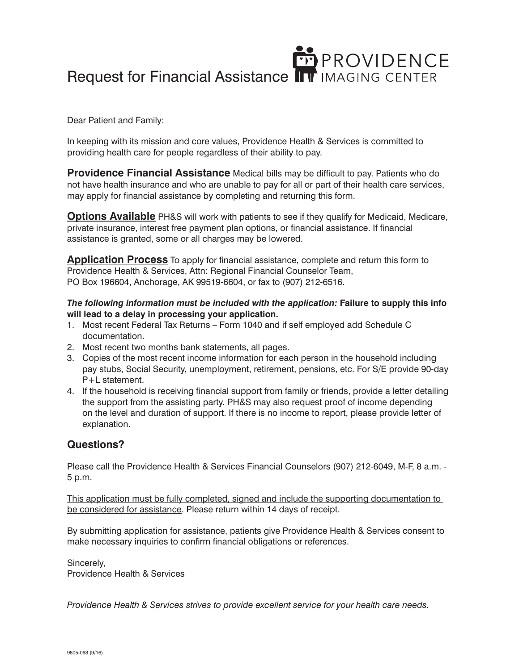## **ED** PROVIDENCE Request for Financial Assistance TTT IMAGING CENTER

Dear Patient and Family:

In keeping with its mission and core values, Providence Health & Services is committed to providing health care for people regardless of their ability to pay.

**Providence Financial Assistance** Medical bills may be difficult to pay. Patients who do not have health insurance and who are unable to pay for all or part of their health care services, may apply for financial assistance by completing and returning this form.

**Options Available** PH&S will work with patients to see if they qualify for Medicaid, Medicare, private insurance, interest free payment plan options, or financial assistance. If financial assistance is granted, some or all charges may be lowered.

**Application Process** To apply for financial assistance, complete and return this form to Providence Health & Services, Attn: Regional Financial Counselor Team, PO Box 196604, Anchorage, AK 99519-6604, or fax to (907) 212-6516.

## *The following information must be included with the application:* **Failure to supply this info will lead to a delay in processing your application.**

- 1. Most recent Federal Tax Returns Form 1040 and if self employed add Schedule C documentation.
- 2. Most recent two months bank statements, all pages.
- 3. Copies of the most recent income information for each person in the household including pay stubs, Social Security, unemployment, retirement, pensions, etc. For S/E provide 90-day P+L statement.
- 4. If the household is receiving financial support from family or friends, provide a letter detailing the support from the assisting party. PH&S may also request proof of income depending on the level and duration of support. If there is no income to report, please provide letter of explanation.

## **Questions?**

Please call the Providence Health & Services Financial Counselors (907) 212-6049, M-F, 8 a.m. - 5 p.m.

This application must be fully completed, signed and include the supporting documentation to be considered for assistance. Please return within 14 days of receipt.

By submitting application for assistance, patients give Providence Health & Services consent to make necessary inquiries to confirm financial obligations or references.

Sincerely, Providence Health & Services

*Providence Health & Services strives to provide excellent service for your health care needs.*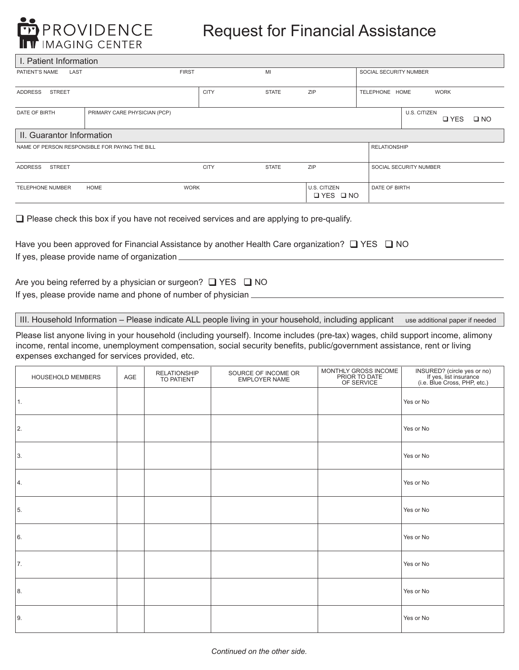

## Request for Financial Assistance

| I. Patient Information                         |                              |              |              |                          |                |                                              |  |
|------------------------------------------------|------------------------------|--------------|--------------|--------------------------|----------------|----------------------------------------------|--|
| PATIENT'S NAME<br>LAST                         |                              | <b>FIRST</b> | MI           |                          |                | SOCIAL SECURITY NUMBER                       |  |
| <b>STREET</b><br>ADDRESS                       |                              | <b>CITY</b>  | <b>STATE</b> | ZIP                      | TELEPHONE HOME | <b>WORK</b>                                  |  |
| DATE OF BIRTH                                  | PRIMARY CARE PHYSICIAN (PCP) |              |              |                          |                | U.S. CITIZEN<br><b>Q</b> YES<br>$\square$ NO |  |
| II. Guarantor Information                      |                              |              |              |                          |                |                                              |  |
| NAME OF PERSON RESPONSIBLE FOR PAYING THE BILL |                              |              |              | <b>RELATIONSHIP</b>      |                |                                              |  |
| <b>STREET</b><br><b>ADDRESS</b>                |                              | <b>CITY</b>  | <b>STATE</b> | ZIP                      |                | SOCIAL SECURITY NUMBER                       |  |
| <b>TELEPHONE NUMBER</b>                        | <b>HOME</b>                  | <b>WORK</b>  |              | U.S. CITIZEN<br>IYES INO | DATE OF BIRTH  |                                              |  |

 $\Box$  Please check this box if you have not received services and are applying to pre-qualify.

| Have you been approved for Financial Assistance by another Health Care organization? $\square$ YES $\square$ NO |  |
|-----------------------------------------------------------------------------------------------------------------|--|
| If yes, please provide name of organization.                                                                    |  |

Are you being referred by a physician or surgeon?  $\Box$  YES  $\Box$  NO If yes, please provide name and phone of number of physician  $\equiv$ 

III. Household Information – Please indicate ALL people living in your household, including applicant use additional paper if needed

Please list anyone living in your household (including yourself). Income includes (pre-tax) wages, child support income, alimony income, rental income, unemployment compensation, social security benefits, public/government assistance, rent or living expenses exchanged for services provided, etc.

| HOUSEHOLD MEMBERS | AGE | RELATIONSHIP<br>TO PATIENT | SOURCE OF INCOME OR<br>EMPLOYER NAME | MONTHLY GROSS INCOME<br>PRIOR TO DATE<br>OF SERVICE | INSURED? (circle yes or no)<br>If yes, list insurance<br>(i.e. Blue Cross, PHP, etc.) |
|-------------------|-----|----------------------------|--------------------------------------|-----------------------------------------------------|---------------------------------------------------------------------------------------|
| 1.                |     |                            |                                      |                                                     | Yes or No                                                                             |
| 2.                |     |                            |                                      |                                                     | Yes or No                                                                             |
| 3.                |     |                            |                                      |                                                     | Yes or No                                                                             |
| 4.                |     |                            |                                      |                                                     | Yes or No                                                                             |
| 5.                |     |                            |                                      |                                                     | Yes or No                                                                             |
| 6.                |     |                            |                                      |                                                     | Yes or No                                                                             |
| 7.                |     |                            |                                      |                                                     | Yes or No                                                                             |
| 8.                |     |                            |                                      |                                                     | Yes or No                                                                             |
| 9.                |     |                            |                                      |                                                     | Yes or No                                                                             |